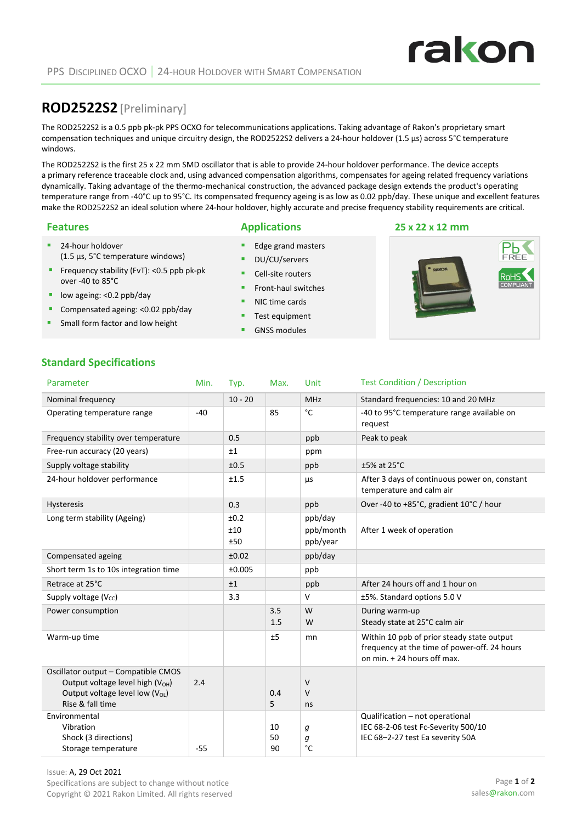## **ROD2522S2**[Preliminary]

The ROD2522S2 is a 0.5 ppb pk-pk PPS OCXO for telecommunications applications. Taking advantage of Rakon's proprietary smart compensation techniques and unique circuitry design, the ROD2522S2 delivers a 24-hour holdover (1.5 µs) across 5°C temperature windows.

The ROD2522S2 is the first 25 x 22 mm SMD oscillator that is able to provide 24-hour holdover performance. The device accepts a primary reference traceable clock and, using advanced compensation algorithms, compensates for ageing related frequency variations dynamically. Taking advantage of the thermo-mechanical construction, the advanced package design extends the product's operating temperature range from -40°C up to 95°C. Its compensated frequency ageing is as low as 0.02 ppb/day. These unique and excellent features make the ROD2522S2 an ideal solution where 24-hour holdover, highly accurate and precise frequency stability requirements are critical.

24-hour holdover

over -40 to 85°C **lacks** low ageing: <0.2 ppb/day

(1.5 µs, 5°C temperature windows) Frequency stability (FvT): <0.5 ppb pk-pk

Compensated ageing: <0.02 ppb/day Small form factor and low height

#### **Features Applications 25 x 22 x 12 mm**

- Edge grand masters
- DU/CU/servers
- Cell-site routers
- **Front-haul switches**
- NIC time cards
- Test equipment
- GNSS modules



### **Standard Specifications**

| Parameter                                                                                                                                      | Min.  | Typ.               | Max.           | Unit                             | <b>Test Condition / Description</b>                                                                                       |
|------------------------------------------------------------------------------------------------------------------------------------------------|-------|--------------------|----------------|----------------------------------|---------------------------------------------------------------------------------------------------------------------------|
| Nominal frequency                                                                                                                              |       | $10 - 20$          |                | <b>MHz</b>                       | Standard frequencies: 10 and 20 MHz                                                                                       |
| Operating temperature range                                                                                                                    | $-40$ |                    | 85             | $^{\circ}$ C                     | -40 to 95°C temperature range available on<br>request                                                                     |
| Frequency stability over temperature                                                                                                           |       | 0.5                |                | ppb                              | Peak to peak                                                                                                              |
| Free-run accuracy (20 years)                                                                                                                   |       | ±1                 |                | ppm                              |                                                                                                                           |
| Supply voltage stability                                                                                                                       |       | ±0.5               |                | ppb                              | $±5\%$ at 25 $°C$                                                                                                         |
| 24-hour holdover performance                                                                                                                   |       | ±1.5               |                | μs                               | After 3 days of continuous power on, constant<br>temperature and calm air                                                 |
| Hysteresis                                                                                                                                     |       | 0.3                |                | ppb                              | Over -40 to +85°C, gradient 10°C / hour                                                                                   |
| Long term stability (Ageing)                                                                                                                   |       | ±0.2<br>±10<br>±50 |                | ppb/day<br>ppb/month<br>ppb/year | After 1 week of operation                                                                                                 |
| Compensated ageing                                                                                                                             |       | ±0.02              |                | ppb/day                          |                                                                                                                           |
| Short term 1s to 10s integration time                                                                                                          |       | ±0.005             |                | ppb                              |                                                                                                                           |
| Retrace at 25°C                                                                                                                                |       | ±1                 |                | ppb                              | After 24 hours off and 1 hour on                                                                                          |
| Supply voltage $(V_{cc})$                                                                                                                      |       | 3.3                |                | v                                | ±5%. Standard options 5.0 V                                                                                               |
| Power consumption                                                                                                                              |       |                    | 3.5<br>1.5     | W<br>W                           | During warm-up<br>Steady state at 25°C calm air                                                                           |
| Warm-up time                                                                                                                                   |       |                    | ±5             | mn                               | Within 10 ppb of prior steady state output<br>frequency at the time of power-off. 24 hours<br>on min. + 24 hours off max. |
| Oscillator output - Compatible CMOS<br>Output voltage level high (V <sub>OH</sub> )<br>Output voltage level low $(V_{OL})$<br>Rise & fall time | 2.4   |                    | 0.4<br>5       | V<br>$\vee$<br>ns                |                                                                                                                           |
| Environmental<br>Vibration<br>Shock (3 directions)<br>Storage temperature                                                                      | $-55$ |                    | 10<br>50<br>90 | g<br>g<br>$^{\circ}$ C           | Qualification - not operational<br>IEC 68-2-06 test Fc-Severity 500/10<br>IEC 68-2-27 test Ea severity 50A                |



# **rakon**